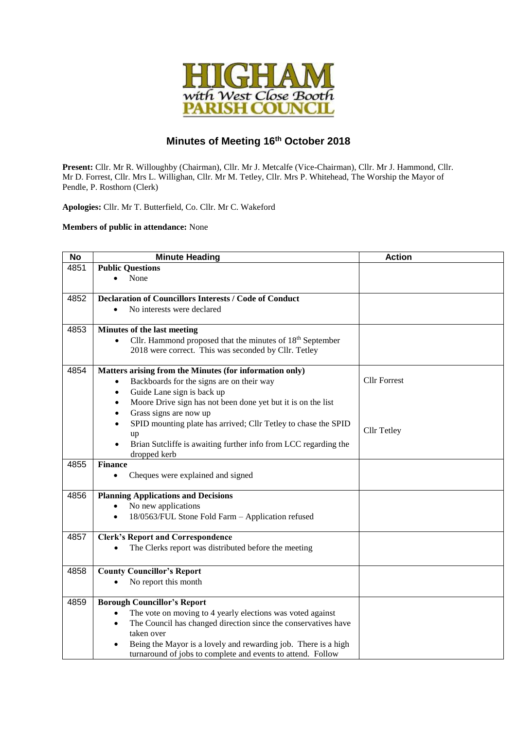

## **Minutes of Meeting 16 th October 2018**

**Present:** Cllr. Mr R. Willoughby (Chairman), Cllr. Mr J. Metcalfe (Vice-Chairman), Cllr. Mr J. Hammond, Cllr. Mr D. Forrest, Cllr. Mrs L. Willighan, Cllr. Mr M. Tetley, Cllr. Mrs P. Whitehead, The Worship the Mayor of Pendle, P. Rosthorn (Clerk)

**Apologies:** Cllr. Mr T. Butterfield, Co. Cllr. Mr C. Wakeford

## **Members of public in attendance:** None

| <b>No</b> | <b>Minute Heading</b>                                                        | <b>Action</b>       |
|-----------|------------------------------------------------------------------------------|---------------------|
| 4851      | <b>Public Questions</b>                                                      |                     |
|           | None                                                                         |                     |
|           |                                                                              |                     |
| 4852      | <b>Declaration of Councillors Interests / Code of Conduct</b>                |                     |
|           | No interests were declared                                                   |                     |
| 4853      | Minutes of the last meeting                                                  |                     |
|           | Cllr. Hammond proposed that the minutes of $18th$ September<br>$\bullet$     |                     |
|           | 2018 were correct. This was seconded by Cllr. Tetley                         |                     |
| 4854      | Matters arising from the Minutes (for information only)                      |                     |
|           | Backboards for the signs are on their way                                    | <b>Cllr Forrest</b> |
|           | Guide Lane sign is back up<br>٠                                              |                     |
|           | Moore Drive sign has not been done yet but it is on the list<br>$\bullet$    |                     |
|           | Grass signs are now up<br>$\bullet$                                          |                     |
|           | SPID mounting plate has arrived; Cllr Tetley to chase the SPID<br>$\bullet$  |                     |
|           | up                                                                           | Cllr Tetley         |
|           | Brian Sutcliffe is awaiting further info from LCC regarding the<br>$\bullet$ |                     |
|           | dropped kerb                                                                 |                     |
| 4855      | <b>Finance</b>                                                               |                     |
|           | Cheques were explained and signed                                            |                     |
| 4856      | <b>Planning Applications and Decisions</b>                                   |                     |
|           | No new applications                                                          |                     |
|           | 18/0563/FUL Stone Fold Farm - Application refused                            |                     |
| 4857      | <b>Clerk's Report and Correspondence</b>                                     |                     |
|           | The Clerks report was distributed before the meeting                         |                     |
|           |                                                                              |                     |
| 4858      | <b>County Councillor's Report</b>                                            |                     |
|           | No report this month                                                         |                     |
| 4859      | <b>Borough Councillor's Report</b>                                           |                     |
|           | The vote on moving to 4 yearly elections was voted against<br>$\bullet$      |                     |
|           | The Council has changed direction since the conservatives have<br>$\bullet$  |                     |
|           | taken over                                                                   |                     |
|           | Being the Mayor is a lovely and rewarding job. There is a high               |                     |
|           | turnaround of jobs to complete and events to attend. Follow                  |                     |